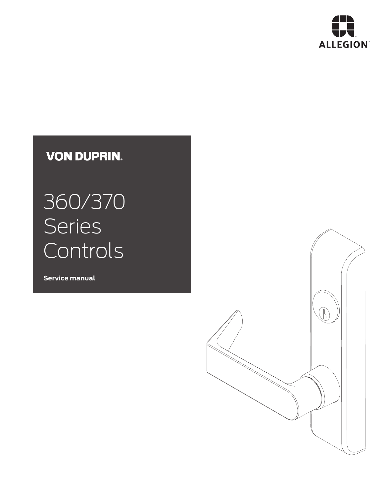

## **VON DUPRIN.**

# 360/370 **Series** Controls

**Service manual**

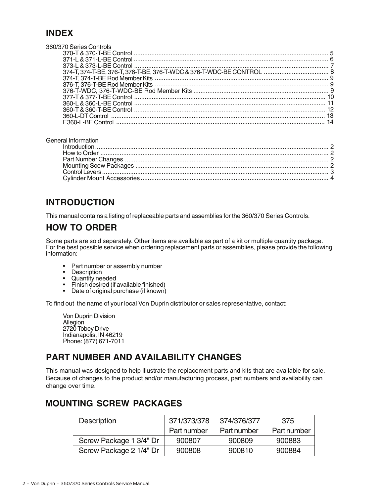#### **INDEX**

| 360/370 Series Controls |  |
|-------------------------|--|
|                         |  |
|                         |  |
|                         |  |
|                         |  |
|                         |  |
|                         |  |
|                         |  |
|                         |  |
|                         |  |
|                         |  |
|                         |  |
|                         |  |
|                         |  |

#### General Information

#### **INTRODUCTION**

This manual contains a listing of replaceable parts and assemblies for the 360/370 Series Controls.

#### **HOW TO ORDER**

Some parts are sold separately. Other items are available as part of a kit or multiple quantity package. For the best possible service when ordering replacement parts or assemblies, please provide the following information:

- Part number or assembly number Description Quantity needed
- 
- 
- Finish desired (if available finished) Date of original purchase (if known)
- 

To find out the name of your local Von Duprin distributor or sales representative, contact:

Von Duprin Division **Allegion** 2720 Tobey Drive Indianapolis, IN 46219 Phone: (877) 671-7011

#### **PART NUMBER AND AVAILABILITY CHANGES**

This manual was designed to help illustrate the replacement parts and kits that are available for sale. Because of changes to the product and/or manufacturing process, part numbers and availability can change over time.

#### **MOUNTING SCREW PACKAGES**

| <b>Description</b>      | 371/373/378 | 374/376/377 | 375         |
|-------------------------|-------------|-------------|-------------|
|                         | Part number | Part number | Part number |
| Screw Package 1 3/4" Dr | 900807      | 900809      | 900883      |
| Screw Package 2 1/4" Dr | 900808      | 900810      | 900884      |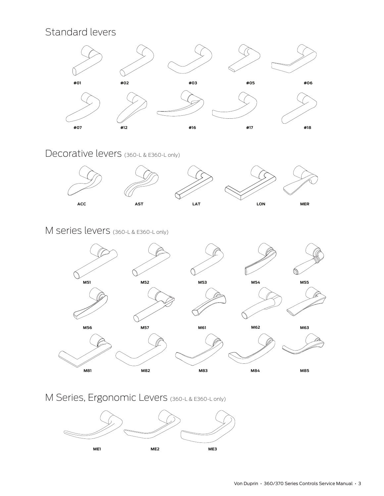## Standard levers



Decorative levers (360-L & E360-L only)



#### M series levers (360-L & E360-L only)



M Series, Ergonomic Levers (360-L & E360-L only)

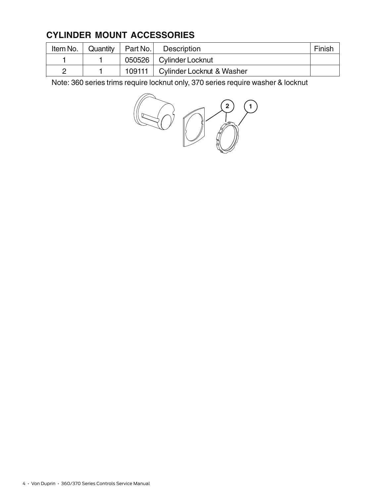### **CYLINDER MOUNT ACCESSORIES**

| Item No. $\vert$ | Quantity   Part No. | Description                        | Finish |
|------------------|---------------------|------------------------------------|--------|
|                  |                     | 050526   Cylinder Locknut          |        |
|                  |                     | 109111   Cylinder Locknut & Washer |        |

Note: 360 series trims require locknut only, 370 series require washer & locknut

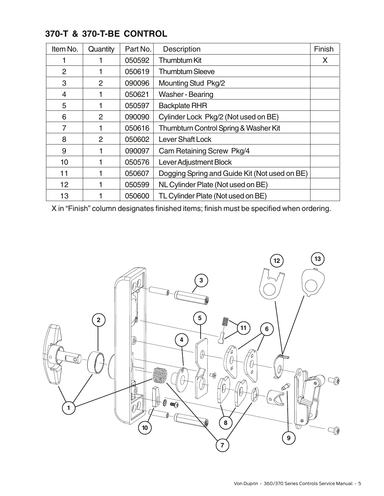| Item No.        | Quantity       | Part No. | Description                                   | Finish |
|-----------------|----------------|----------|-----------------------------------------------|--------|
|                 |                | 050592   | Thumbturn Kit                                 | X      |
| $\overline{2}$  |                | 050619   | <b>Thumbturn Sleeve</b>                       |        |
| 3               | $\overline{2}$ | 090096   | <b>Mounting Stud Pkg/2</b>                    |        |
| 4               |                | 050621   | Washer - Bearing                              |        |
| 5               |                | 050597   | <b>Backplate RHR</b>                          |        |
| 6               | 2              | 090090   | Cylinder Lock Pkg/2 (Not used on BE)          |        |
| 7               |                | 050616   | Thumbturn Control Spring & Washer Kit         |        |
| 8               | $\overline{2}$ | 050602   | <b>Lever Shaft Lock</b>                       |        |
| 9               |                | 090097   | Cam Retaining Screw Pkg/4                     |        |
| 10              |                | 050576   | <b>Lever Adjustment Block</b>                 |        |
| 11              |                | 050607   | Dogging Spring and Guide Kit (Not used on BE) |        |
| 12 <sub>2</sub> |                | 050599   | NL Cylinder Plate (Not used on BE)            |        |
| 13              |                | 050600   | TL Cylinder Plate (Not used on BE)            |        |

#### **370-T & 370-T-BE CONTROL**

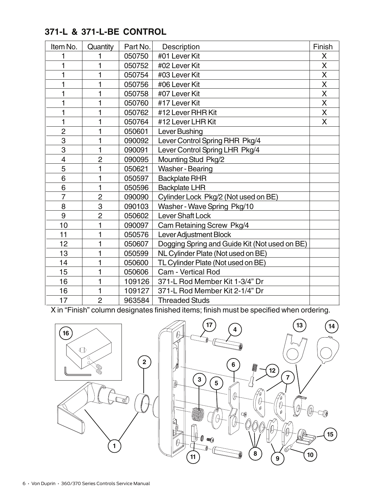#### **371-L & 371-L-BE CONTROL**

| Item No.       | Quantity       | Part No. | Description                                   | Finish |
|----------------|----------------|----------|-----------------------------------------------|--------|
|                | 1              | 050750   | #01 Lever Kit                                 | X      |
| 1              | 1              | 050752   | #02 Lever Kit                                 | X      |
| 1              | 1              | 050754   | #03 Lever Kit                                 | X      |
| 1              | 1              | 050756   | #06 Lever Kit                                 | X      |
| 1              | 1              | 050758   | #07 Lever Kit                                 | X      |
| 1              | 1              | 050760   | #17 Lever Kit                                 | X      |
| 1              | 1              | 050762   | #12 Lever RHR Kit                             | X      |
| 1              | 1              | 050764   | #12 Lever LHR Kit                             | X      |
| $\overline{2}$ | 1              | 050601   | Lever Bushing                                 |        |
| 3              | 1              | 090092   | Lever Control Spring RHR Pkg/4                |        |
| 3              | 1              | 090091   | Lever Control Spring LHR Pkg/4                |        |
| 4              | $\overline{2}$ | 090095   | Mounting Stud Pkg/2                           |        |
| 5              | 1              | 050621   | <b>Washer - Bearing</b>                       |        |
| 6              | 1              | 050597   | <b>Backplate RHR</b>                          |        |
| 6              | 1              | 050596   | <b>Backplate LHR</b>                          |        |
| 7              | $\overline{2}$ | 090090   | Cylinder Lock Pkg/2 (Not used on BE)          |        |
| 8              | 3              | 090103   | Washer - Wave Spring Pkg/10                   |        |
| 9              | $\overline{2}$ | 050602   | Lever Shaft Lock                              |        |
| 10             | 1              | 090097   | Cam Retaining Screw Pkg/4                     |        |
| 11             | 1              | 050576   | Lever Adjustment Block                        |        |
| 12             | 1              | 050607   | Dogging Spring and Guide Kit (Not used on BE) |        |
| 13             | 1              | 050599   | NL Cylinder Plate (Not used on BE)            |        |
| 14             | 1              | 050600   | TL Cylinder Plate (Not used on BE)            |        |
| 15             | 1              | 050606   | Cam - Vertical Rod                            |        |
| 16             | 1              | 109126   | 371-L Rod Member Kit 1-3/4" Dr                |        |
| 16             | 1              | 109127   | 371-L Rod Member Kit 2-1/4" Dr                |        |
| 17             | $\overline{2}$ | 963584   | <b>Threaded Studs</b>                         |        |

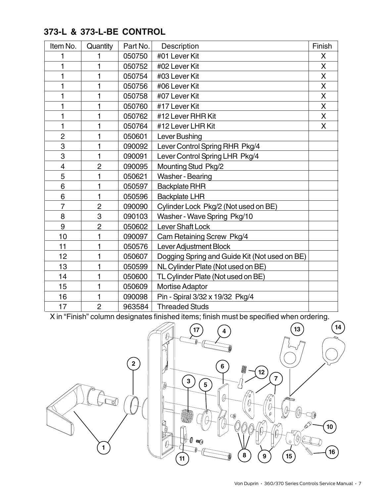#### **373-L & 373-L-BE CONTROL**

| Item No.                 | Quantity       | Part No. | Description                                   | Finish |
|--------------------------|----------------|----------|-----------------------------------------------|--------|
| 1                        | 1              | 050750   | #01 Lever Kit                                 | X      |
| 1                        | 1              | 050752   | #02 Lever Kit                                 | X      |
| 1                        | 1              | 050754   | #03 Lever Kit                                 | X      |
| 1                        | 1              | 050756   | #06 Lever Kit                                 | X      |
| 1                        | 1              | 050758   | #07 Lever Kit                                 | X      |
| 1                        | 1              | 050760   | #17 Lever Kit                                 | X      |
| 1                        | 1              | 050762   | #12 Lever RHR Kit                             | X      |
| 1                        | 1              | 050764   | #12 Lever LHR Kit                             | X      |
| $\overline{c}$           | 1              | 050601   | Lever Bushing                                 |        |
| 3                        | 1              | 090092   | Lever Control Spring RHR Pkg/4                |        |
| 3                        | 1              | 090091   | Lever Control Spring LHR Pkg/4                |        |
| $\overline{\mathcal{A}}$ | $\overline{2}$ | 090095   | Mounting Stud Pkg/2                           |        |
| 5                        | 1              | 050621   | Washer - Bearing                              |        |
| 6                        | 1              | 050597   | <b>Backplate RHR</b>                          |        |
| 6                        | 1              | 050596   | <b>Backplate LHR</b>                          |        |
| $\overline{7}$           | $\overline{2}$ | 090090   | Cylinder Lock Pkg/2 (Not used on BE)          |        |
| 8                        | 3              | 090103   | Washer - Wave Spring Pkg/10                   |        |
| 9                        | $\overline{2}$ | 050602   | <b>Lever Shaft Lock</b>                       |        |
| 10                       | 1              | 090097   | Cam Retaining Screw Pkg/4                     |        |
| 11                       | 1              | 050576   | Lever Adjustment Block                        |        |
| 12                       | 1              | 050607   | Dogging Spring and Guide Kit (Not used on BE) |        |
| 13                       | 1              | 050599   | NL Cylinder Plate (Not used on BE)            |        |
| 14                       | 1              | 050600   | TL Cylinder Plate (Not used on BE)            |        |
| 15                       | 1              | 050609   | <b>Mortise Adaptor</b>                        |        |
| 16                       | 1              | 090098   | Pin - Spiral 3/32 x 19/32 Pkg/4               |        |
| 17                       | $\overline{2}$ | 963584   | <b>Threaded Studs</b>                         |        |

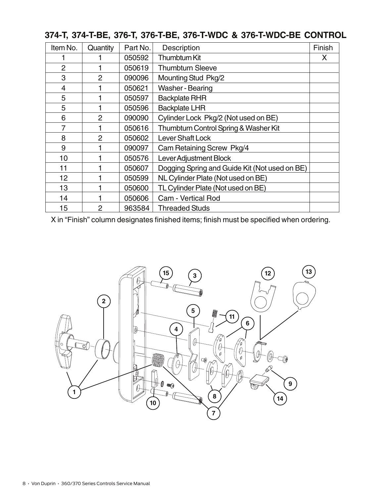| Item No.       | Quantity       | Part No. | <b>Description</b>                            | Finish |
|----------------|----------------|----------|-----------------------------------------------|--------|
|                |                | 050592   | Thumbturn Kit                                 | X      |
| $\overline{2}$ |                | 050619   | <b>Thumbturn Sleeve</b>                       |        |
| 3              | $\overline{2}$ | 090096   | <b>Mounting Stud Pkg/2</b>                    |        |
| $\overline{4}$ |                | 050621   | Washer - Bearing                              |        |
| 5              |                | 050597   | <b>Backplate RHR</b>                          |        |
| 5              |                | 050596   | <b>Backplate LHR</b>                          |        |
| 6              | 2              | 090090   | Cylinder Lock Pkg/2 (Not used on BE)          |        |
| 7              |                | 050616   | Thumbturn Control Spring & Washer Kit         |        |
| 8              | $\overline{2}$ | 050602   | <b>Lever Shaft Lock</b>                       |        |
| 9              |                | 090097   | Cam Retaining Screw Pkg/4                     |        |
| 10             |                | 050576   | Lever Adjustment Block                        |        |
| 11             |                | 050607   | Dogging Spring and Guide Kit (Not used on BE) |        |
| 12             |                | 050599   | NL Cylinder Plate (Not used on BE)            |        |
| 13             |                | 050600   | TL Cylinder Plate (Not used on BE)            |        |
| 14             |                | 050606   | Cam - Vertical Rod                            |        |
| 15             | 2              | 963584   | <b>Threaded Studs</b>                         |        |

#### **374-T, 374-T-BE, 376-T, 376-T-BE, 376-T-WDC & 376-T-WDC-BE CONTROL**

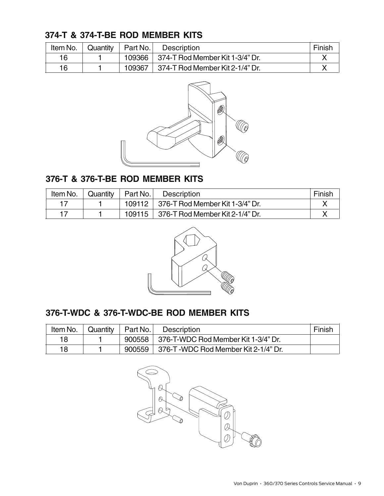#### **374-T & 374-T-BE ROD MEMBER KITS**

| Item No. | Quantity | Part No. | <b>Description</b>                     | Finish |
|----------|----------|----------|----------------------------------------|--------|
| 16       |          |          | 109366 374-T Rod Member Kit 1-3/4" Dr. |        |
| 16       |          | 109367   | 374-T Rod Member Kit 2-1/4" Dr.        |        |



#### **376-T & 376-T-BE ROD MEMBER KITS**

| Item No. | Quantity | Part No. | <b>Description</b>                             | Finish |
|----------|----------|----------|------------------------------------------------|--------|
|          |          |          | 109112 376-T Rod Member Kit 1-3/4" Dr.         |        |
|          |          |          | 109115 $\vert$ 376-T Rod Member Kit 2-1/4" Dr. |        |



#### **376-T-WDC & 376-T-WDC-BE ROD MEMBER KITS**

| Item No. | Quantity | Part No. | <b>Description</b>                           | Finish |
|----------|----------|----------|----------------------------------------------|--------|
| 18       |          |          | 900558   376-T-WDC Rod Member Kit 1-3/4" Dr. |        |
| 18       |          | 900559   | 376-T -WDC Rod Member Kit 2-1/4" Dr.         |        |

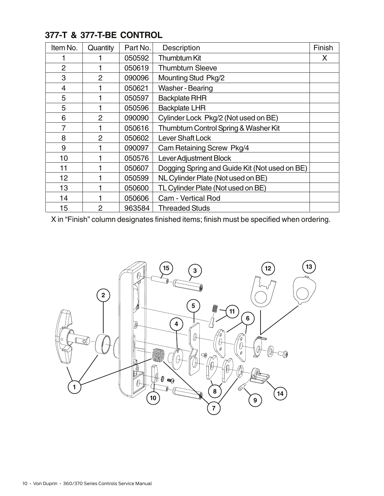| Item No.       | Quantity       | Part No. | <b>Description</b>                            | Finish |
|----------------|----------------|----------|-----------------------------------------------|--------|
|                |                | 050592   | Thumbturn Kit                                 | X      |
| $\overline{2}$ |                | 050619   | <b>Thumbturn Sleeve</b>                       |        |
| 3              | $\overline{2}$ | 090096   | <b>Mounting Stud Pkg/2</b>                    |        |
| 4              |                | 050621   | Washer - Bearing                              |        |
| 5              |                | 050597   | <b>Backplate RHR</b>                          |        |
| 5              |                | 050596   | <b>Backplate LHR</b>                          |        |
| 6              | 2              | 090090   | Cylinder Lock Pkg/2 (Not used on BE)          |        |
| 7              |                | 050616   | Thumbturn Control Spring & Washer Kit         |        |
| 8              | $\overline{2}$ | 050602   | <b>Lever Shaft Lock</b>                       |        |
| 9              |                | 090097   | Cam Retaining Screw Pkg/4                     |        |
| 10             |                | 050576   | Lever Adjustment Block                        |        |
| 11             |                | 050607   | Dogging Spring and Guide Kit (Not used on BE) |        |
| 12             |                | 050599   | NL Cylinder Plate (Not used on BE)            |        |
| 13             |                | 050600   | TL Cylinder Plate (Not used on BE)            |        |
| 14             |                | 050606   | Cam - Vertical Rod                            |        |
| 15             | 2              | 963584   | <b>Threaded Studs</b>                         |        |

#### **377-T & 377-T-BE CONTROL**

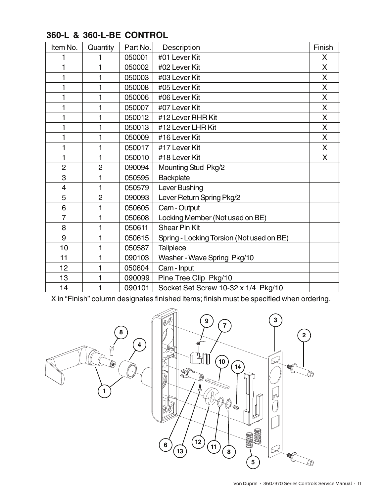| Item No.       | Quantity       | Part No. | Description                               | Finish |
|----------------|----------------|----------|-------------------------------------------|--------|
|                |                | 050001   | #01 Lever Kit                             | X      |
| 1              | 1              | 050002   | #02 Lever Kit                             | X      |
| 1              | 1              | 050003   | #03 Lever Kit                             | X      |
| 1              | 1              | 050008   | #05 Lever Kit                             | X      |
| 1              | 1              | 050006   | #06 Lever Kit                             | X      |
| 1              | 1              | 050007   | #07 Lever Kit                             | X      |
| 1              | 1              | 050012   | #12 Lever RHR Kit                         | X      |
| 1              | 1              | 050013   | #12 Lever LHR Kit                         | X      |
| 1              | 1              | 050009   | #16 Lever Kit                             | X      |
| 1              | 1              | 050017   | #17 Lever Kit                             | X      |
| 1              | 1              | 050010   | #18 Lever Kit                             | X      |
| $\overline{2}$ | $\overline{2}$ | 090094   | Mounting Stud Pkg/2                       |        |
| 3              | 1              | 050595   | Backplate                                 |        |
| 4              | 1              | 050579   | Lever Bushing                             |        |
| 5              | $\overline{2}$ | 090093   | Lever Return Spring Pkg/2                 |        |
| 6              | 1              | 050605   | Cam - Output                              |        |
| $\overline{7}$ | 1              | 050608   | Locking Member (Not used on BE)           |        |
| 8              | 1              | 050611   | <b>Shear Pin Kit</b>                      |        |
| 9              | 1              | 050615   | Spring - Locking Torsion (Not used on BE) |        |
| 10             | 1              | 050587   | <b>Tailpiece</b>                          |        |
| 11             | 1              | 090103   | Washer - Wave Spring Pkg/10               |        |
| 12             | 1              | 050604   | Cam - Input                               |        |
| 13             | 1              | 090099   | Pine Tree Clip Pkg/10                     |        |
| 14             | 1              | 090101   | Socket Set Screw 10-32 x 1/4 Pkg/10       |        |

#### **360-L & 360-L-BE CONTROL**

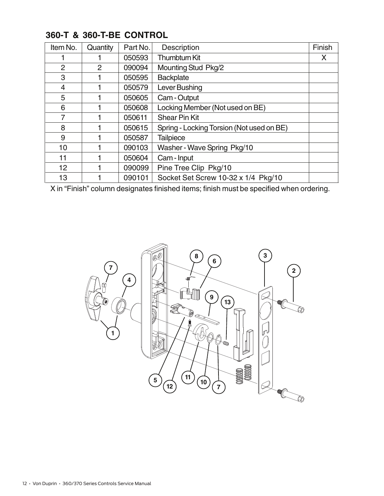| Item No. | Quantity | Part No. | Description                               | Finish |
|----------|----------|----------|-------------------------------------------|--------|
|          |          | 050593   | <b>Thumbturn Kit</b>                      | X      |
| 2        | 2        | 090094   | Mounting Stud Pkg/2                       |        |
| 3        |          | 050595   | <b>Backplate</b>                          |        |
| 4        |          | 050579   | Lever Bushing                             |        |
| 5        |          | 050605   | Cam - Output                              |        |
| 6        |          | 050608   | Locking Member (Not used on BE)           |        |
| 7        |          | 050611   | <b>Shear Pin Kit</b>                      |        |
| 8        |          | 050615   | Spring - Locking Torsion (Not used on BE) |        |
| 9        |          | 050587   | <b>Tailpiece</b>                          |        |
| 10       |          | 090103   | Washer - Wave Spring Pkg/10               |        |
| 11       |          | 050604   | Cam - Input                               |        |
| 12       |          | 090099   | Pine Tree Clip Pkg/10                     |        |
| 13       |          | 090101   | Socket Set Screw 10-32 x 1/4 Pkg/10       |        |

#### **360-T & 360-T-BE CONTROL**

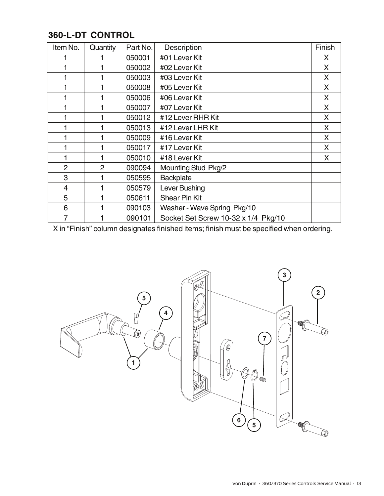| <b>360-L-DT CONTROL</b> |  |
|-------------------------|--|
|-------------------------|--|

| Item No.       | Quantity       | Part No. | Description                         | Finish |
|----------------|----------------|----------|-------------------------------------|--------|
|                |                | 050001   | #01 Lever Kit                       | X.     |
|                |                | 050002   | #02 Lever Kit                       | X      |
|                |                | 050003   | #03 Lever Kit                       | X      |
|                |                | 050008   | #05 Lever Kit                       | X      |
|                |                | 050006   | #06 Lever Kit                       | X      |
|                |                | 050007   | #07 Lever Kit                       | X      |
|                |                | 050012   | #12 Lever RHR Kit                   | X      |
|                |                | 050013   | #12 Lever LHR Kit                   | X      |
|                |                | 050009   | #16 Lever Kit                       | X      |
|                |                | 050017   | #17 Lever Kit                       | X      |
|                |                | 050010   | #18 Lever Kit                       | X      |
| $\overline{2}$ | $\overline{2}$ | 090094   | <b>Mounting Stud Pkg/2</b>          |        |
| 3              |                | 050595   | <b>Backplate</b>                    |        |
| 4              |                | 050579   | Lever Bushing                       |        |
| 5              |                | 050611   | <b>Shear Pin Kit</b>                |        |
| 6              |                | 090103   | Washer - Wave Spring Pkg/10         |        |
| 7              |                | 090101   | Socket Set Screw 10-32 x 1/4 Pkg/10 |        |

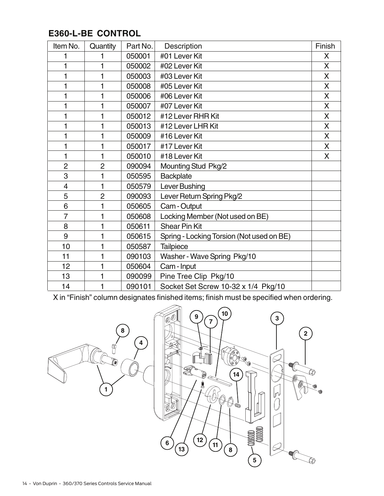### **E360-L-BE CONTROL**

| Item No.       | Quantity       | Part No. | Description                               | Finish |
|----------------|----------------|----------|-------------------------------------------|--------|
| 1              | 1              | 050001   | #01 Lever Kit                             | X      |
| 1              | 1              | 050002   | #02 Lever Kit                             | X      |
| 1              | 1              | 050003   | #03 Lever Kit                             | X      |
| 1              | 1              | 050008   | #05 Lever Kit                             | X      |
| 1              | 1              | 050006   | #06 Lever Kit                             | X      |
| 1              | 1              | 050007   | #07 Lever Kit                             | X      |
| 1              | 1              | 050012   | #12 Lever RHR Kit                         | X      |
| 1              | 1              | 050013   | #12 Lever LHR Kit                         | X      |
| 1              | 1              | 050009   | #16 Lever Kit                             | X      |
| 1              | 1              | 050017   | #17 Lever Kit                             | X      |
| 1              | 1              | 050010   | #18 Lever Kit                             | X      |
| $\overline{2}$ | $\overline{2}$ | 090094   | <b>Mounting Stud Pkg/2</b>                |        |
| 3              | 1              | 050595   | Backplate                                 |        |
| $\overline{4}$ | 1              | 050579   | Lever Bushing                             |        |
| 5              | $\overline{2}$ | 090093   | Lever Return Spring Pkg/2                 |        |
| 6              | 1              | 050605   | Cam - Output                              |        |
| 7              | 1              | 050608   | Locking Member (Not used on BE)           |        |
| 8              | 1              | 050611   | <b>Shear Pin Kit</b>                      |        |
| 9              | 1              | 050615   | Spring - Locking Torsion (Not used on BE) |        |
| 10             | 1              | 050587   | Tailpiece                                 |        |
| 11             | 1              | 090103   | Washer - Wave Spring Pkg/10               |        |
| 12             | 1              | 050604   | Cam - Input                               |        |
| 13             | 1              | 090099   | Pine Tree Clip Pkg/10                     |        |
| 14             | 1              | 090101   | Socket Set Screw 10-32 x 1/4 Pkg/10       |        |